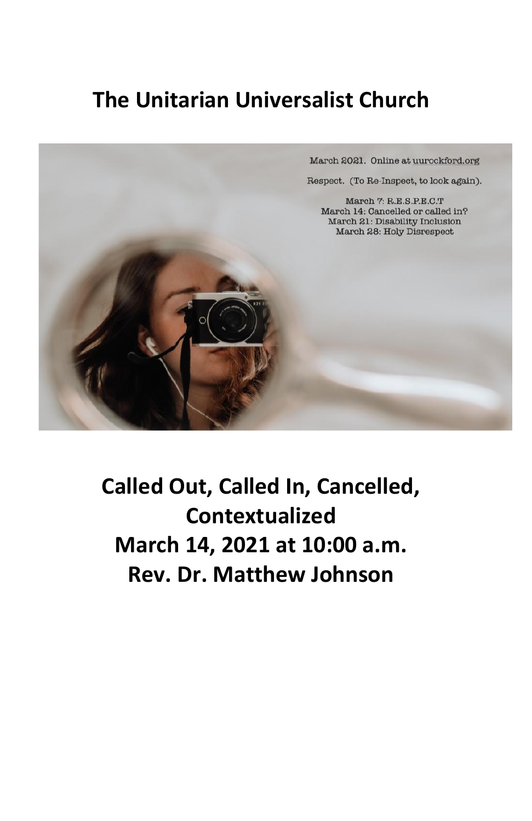## **The Unitarian Universalist Church**

March 2021. Online at uurockford.org Respect. (To Re-Inspect, to look again). March 7: R.E.S.P.E.C.T March 14: Cancelled or called in? March 21: Disability Inclusion March 28: Holy Disrespect

> **Called Out, Called In, Cancelled, Contextualized March 14, 2021 at 10:00 a.m. Rev. Dr. Matthew Johnson**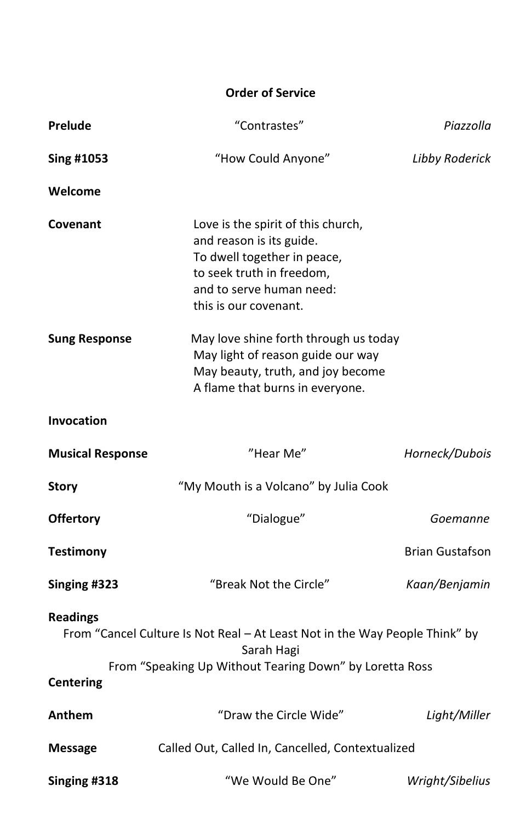## **Order of Service**

| Prelude                                                                                                                                                                                     | "Contrastes"                                                                                                                                                                    | Piazzolla              |
|---------------------------------------------------------------------------------------------------------------------------------------------------------------------------------------------|---------------------------------------------------------------------------------------------------------------------------------------------------------------------------------|------------------------|
| Sing #1053                                                                                                                                                                                  | "How Could Anyone"                                                                                                                                                              | Libby Roderick         |
| Welcome                                                                                                                                                                                     |                                                                                                                                                                                 |                        |
| Covenant                                                                                                                                                                                    | Love is the spirit of this church,<br>and reason is its guide.<br>To dwell together in peace,<br>to seek truth in freedom,<br>and to serve human need:<br>this is our covenant. |                        |
| <b>Sung Response</b>                                                                                                                                                                        | May love shine forth through us today<br>May light of reason guide our way<br>May beauty, truth, and joy become<br>A flame that burns in everyone.                              |                        |
| <b>Invocation</b>                                                                                                                                                                           |                                                                                                                                                                                 |                        |
| <b>Musical Response</b>                                                                                                                                                                     | "Hear Me"                                                                                                                                                                       | Horneck/Dubois         |
| Story                                                                                                                                                                                       | "My Mouth is a Volcano" by Julia Cook                                                                                                                                           |                        |
| <b>Offertory</b>                                                                                                                                                                            | "Dialogue"                                                                                                                                                                      | Goemanne               |
| <b>Testimony</b>                                                                                                                                                                            |                                                                                                                                                                                 | <b>Brian Gustafson</b> |
| Singing #323                                                                                                                                                                                | "Break Not the Circle"                                                                                                                                                          | Kaan/Benjamin          |
| <b>Readings</b><br>From "Cancel Culture Is Not Real - At Least Not in the Way People Think" by<br>Sarah Hagi<br>From "Speaking Up Without Tearing Down" by Loretta Ross<br><b>Centering</b> |                                                                                                                                                                                 |                        |
| Anthem                                                                                                                                                                                      | "Draw the Circle Wide"                                                                                                                                                          | Light/Miller           |
| <b>Message</b>                                                                                                                                                                              | Called Out, Called In, Cancelled, Contextualized                                                                                                                                |                        |
| Singing #318                                                                                                                                                                                | "We Would Be One"                                                                                                                                                               | Wright/Sibelius        |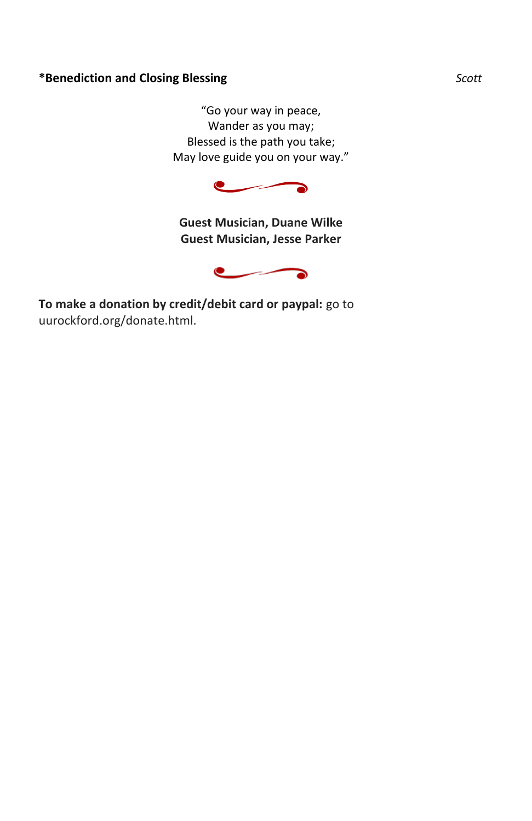## **\*Benediction and Closing Blessing** *Scott*

"Go your way in peace, Wander as you may; Blessed is the path you take; May love guide you on your way."



**Guest Musician, Duane Wilke Guest Musician, Jesse Parker**



**To make a donation by credit/debit card or paypal:** go to uurockford.org/donate.html.